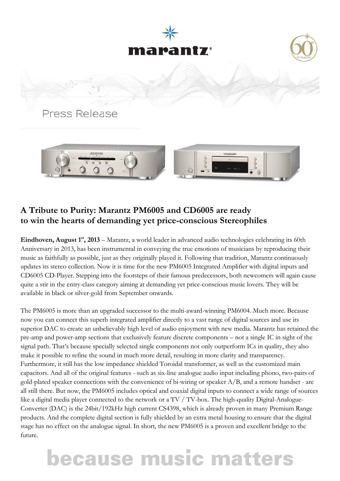



### **A Tribute to Purity: Marantz PM6005 and CD6005 are ready to win the hearts of demanding yet price-conscious Stereophiles**

Eindhoven, August 1<sup>st</sup>, 2013 – Marantz, a world leader in advanced audio technologies celebrating its 60th Anniversary in 2013, has been instrumental in conveying the true emotions of musicians by reproducing their music as faithfully as possible, just as they originally played it. Following that tradition, Marantz continuously updates its stereo collection. Now it is time for the new PM6005 Integrated Amplifier with digital inputs and CD6005 CD-Player. Stepping into the footsteps of their famous predecessors, both newcomers will again cause quite a stir in the entry-class category aiming at demanding yet price-conscious music lovers. They will be available in black or silver-gold from September onwards.

The PM6005 is more than an upgraded successor to the multi-award-winning PM6004. Much more. Because now you can connect this superb integrated amplifier directly to a vast range of digital sources and use its superior DAC to create an unbelievably high level of audio enjoyment with new media. Marantz has retained the pre-amp and power-amp sections that exclusively feature discrete components – not a single IC in sight of the signal path. That's because specially selected single components not only outperform ICs in quality, they also make it possible to refine the sound in much more detail, resulting in more clarity and transparency. Furthermore, it still has the low impedance shielded Toroidal transformer, as well as the customized main capacitors. And all of the original features - such as six-line analogue audio input including phono, two-pairs of gold-plated speaker connections with the convenience of bi-wiring or speaker A/B, and a remote handset - are all still there. But now, the PM6005 includes optical and coaxial digital inputs to connect a wide range of sources like a digital media player connected to the network or a TV / TV-box. The high-quality Digital-Analogue-Converter (DAC) is the 24bit/192kHz high current CS4398, which is already proven in many Premium Range products. And the complete digital section is fully shielded by an extra metal housing to ensure that the digital stage has no effect on the analogue signal. In short, the new PM6005 is a proven and excellent bridge to the future.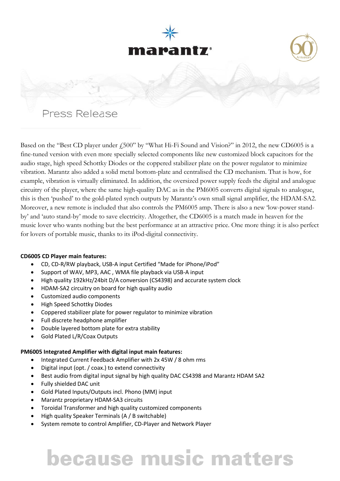

Based on the "Best CD player under £500" by "What Hi-Fi Sound and Vision?" in 2012, the new CD6005 is a fine-tuned version with even more specially selected components like new customized block capacitors for the audio stage, high speed Schottky Diodes or the coppered stabilizer plate on the power regulator to minimize vibration. Marantz also added a solid metal bottom-plate and centralised the CD mechanism. That is how, for example, vibration is virtually eliminated. In addition, the oversized power supply feeds the digital and analogue circuitry of the player, where the same high-quality DAC as in the PM6005 converts digital signals to analogue, this is then 'pushed' to the gold-plated synch outputs by Marantz's own small signal amplifier, the HDAM-SA2. Moreover, a new remote is included that also controls the PM6005 amp. There is also a new 'low-power standby' and 'auto stand-by' mode to save electricity. Altogether, the CD6005 is a match made in heaven for the music lover who wants nothing but the best performance at an attractive price. One more thing: it is also perfect for lovers of portable music, thanks to its iPod-digital connectivity.

### **CD6005 CD Player main features:**

- CD, CD-R/RW playback, USB-A input Certified "Made for iPhone/iPod"
- Support of WAV, MP3, AAC , WMA file playback via USB-A input
- High quality 192kHz/24bit D/A conversion (CS4398) and accurate system clock
- HDAM-SA2 circuitry on board for high quality audio
- Customized audio components
- High Speed Schottky Diodes
- Coppered stabilizer plate for power regulator to minimize vibration
- Full discrete headphone amplifier
- Double layered bottom plate for extra stability
- Gold Plated L/R/Coax Outputs

### **PM6005 Integrated Amplifier with digital input main features:**

- Integrated Current Feedback Amplifier with 2x 45W / 8 ohm rms
- Digital input (opt. / coax.) to extend connectivity
- Best audio from digital input signal by high quality DAC CS4398 and Marantz HDAM SA2
- Fully shielded DAC unit
- Gold Plated Inputs/Outputs incl. Phono (MM) input
- Marantz proprietary HDAM-SA3 circuits
- Toroidal Transformer and high quality customized components
- High quality Speaker Terminals (A / B switchable)
- System remote to control Amplifier, CD-Player and Network Player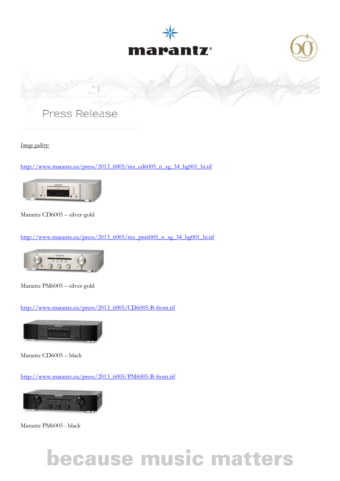





*Image gallery:*

[http://www.marantz.eu/press/2013\\_6005/mz\\_cd6005\\_n\\_sg\\_34\\_bg001\\_hi.tif](http://www.marantz.eu/press/2013_6005/mz_cd6005_n_sg_34_bg001_hi.tif)



Marantz CD6005 – silver-gold

[http://www.marantz.eu/press/2013\\_6005/mz\\_pm6005\\_n\\_sg\\_34\\_bg001\\_hi.tif](http://www.marantz.eu/press/2013_6005/mz_pm6005_n_sg_34_bg001_hi.tif)



Marantz PM6005 – silver-gold

[http://www.marantz.eu/press/2013\\_6005/CD6005-B-front.tif](http://www.marantz.eu/press/2013_6005/CD6005-B-front.tif)



Marantz CD6005 – black

[http://www.marantz.eu/press/2013\\_6005/PM6005-B-front.tif](http://www.marantz.eu/press/2013_6005/PM6005-B-front.tif)



Marantz PM6005 - black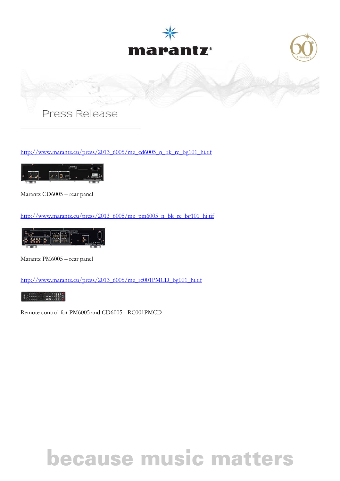





[http://www.marantz.eu/press/2013\\_6005/mz\\_cd6005\\_n\\_bk\\_re\\_bg101\\_hi.tif](http://www.marantz.eu/press/2013_6005/mz_cd6005_n_bk_re_bg101_hi.tif)



Marantz CD6005 – rear panel

[http://www.marantz.eu/press/2013\\_6005/mz\\_pm6005\\_n\\_bk\\_re\\_bg101\\_hi.tif](http://www.marantz.eu/press/2013_6005/mz_pm6005_n_bk_re_bg101_hi.tif)



Marantz PM6005 – rear panel

[http://www.marantz.eu/press/2013\\_6005/mz\\_rc001PMCD\\_bg001\\_hi.tif](http://www.marantz.eu/press/2013_6005/mz_rc001PMCD_bg001_hi.tif)



Remote control for PM6005 and CD6005 - RC001PMCD